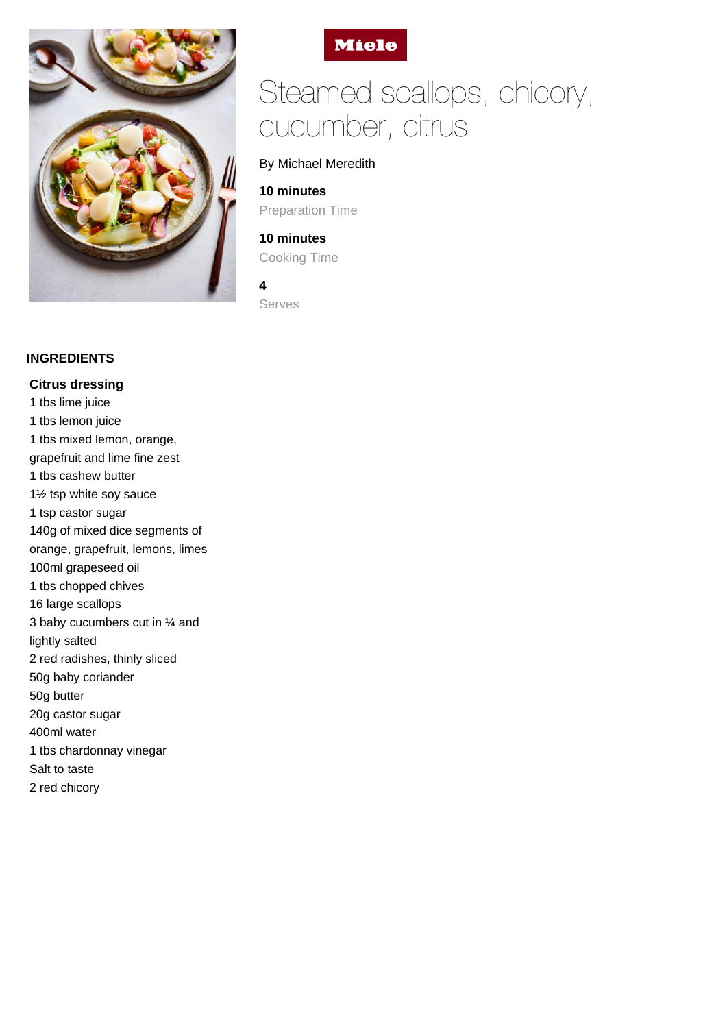



# Steamed scallops, chicory, cucumber, citrus

## By Michael Meredith

**10 minutes** Preparation Time

# **10 minutes** Cooking Time

**4** Serves

### **INGREDIENTS**

**Citrus dressing** 1 tbs lime juice 1 tbs lemon juice 1 tbs mixed lemon, orange, grapefruit and lime fine zest 1 tbs cashew butter 1½ tsp white soy sauce 1 tsp castor sugar 140g of mixed dice segments of orange, grapefruit, lemons, limes 100ml grapeseed oil 1 tbs chopped chives 16 large scallops 3 baby cucumbers cut in ¼ and lightly salted 2 red radishes, thinly sliced 50g baby coriander 50g butter 20g castor sugar 400ml water 1 tbs chardonnay vinegar Salt to taste 2 red chicory